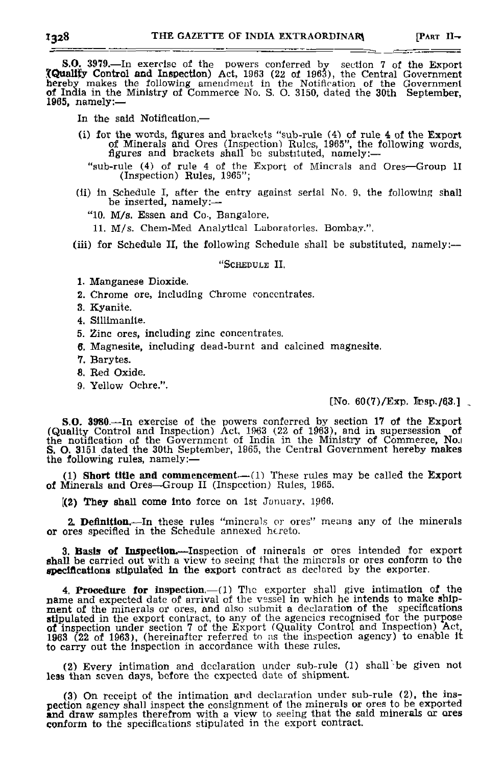S.O. 3979.—In exercise of the powers conferred by .section 7 of the Export **XQualijy** Control **and** Inspection) Act, 1963 (22 of 1963), the Central Government hereby makes the following amendment in the Notification of the Government of India in the Ministry of Commerce No. S. O. 3150, dated the 30th September, 1965, namely:—

In the said Notification,—

- (1) for the words, figures and brackets "sub-rule (4) of rule 4 of the Export of Minerals and Ores (Inspection! Rules, 1965", the following words, figures and brackets shall be substituted, namely:—
	- "sub-rule (4) of rule 4 of the Export of Minerals and Ores—Group II (Inspection) Rules, 1965";
- (ii) in Schedule I, after the entry against serial No. 9, the following shall be inserted, namely:—
	- "10. M/s. Essen and Co-, Bangalore.

11. M/s. Chem-Med Analytical Laboratories, Bombay.".

(iii) for Schedule II, the following Schedule shall be substituted, namely:—

## "SCHEDULE II.

- 1. Manganese Dioxide.
- 2. Chrome ore, including Chrome concentrates.
- 3. Kyanite.
- 4. Sillimanlte.
- 5. Zinc ores, including zinc concentrates.
- 6. Magnesite, including dead-burnt and calcined magnesite.
- 7. Barytes.
- *B.* Red Oxide.
- 9. Yellow Ochre.".

## $[No. 60(7)/Exp.$  Insp./63.].

**S.O. 3980.**—In exercise of the powers conferred by section 17 of the Export (Quality Control and Inspection) Act, 1963 (22 of 1963), and in supersession of the notification of the Government of India in the Ministry of Co the following rules, namely:—

(1) **Short title and** commencement—(1) These rules may be called the Export of Minerals and Ores—Group II (Inspection) Rules, 1065,

[(2) **They** shall come into force on 1st January, ip66.

**2. Definition.—**In these rules "minerals or ores" means any of Ihe minerals or ores specified in the Schedule annexed hereto.

**3. Basis of Inspection.**—Inspection of minerals or ores intended for export shall be carried out with a view to seeing that the minerals or ores conform to the **specifications** stipulated **in** the export contract as declared by the exporter.

4. Procedure **for** Inspection,—(1) The exporter shall give intimation of the name and expected date of arrival of the vessel in which he intends to make shipment of the minerals or ores, and also submit a declaration of the specifications<br>stipulated in the export contract, to any of the agencies recognised for the purpose<br>of inspection under section 7 of the Export (Quality Co to carry out the inspection in accordance with these rules.

(2) Every intimation and declaration under sub-rule (1) shall be given not less than seven days, before the expected date of shipment.

(3) On receipt of the intimation arid declaration under sub-rule (2), the inspection agency shall inspect the consignment of the minerals or ores to be exported **and** draw samples therefrom with a view to seeing that the said minerals or ores conform to the specifications stipulated in the export contract.